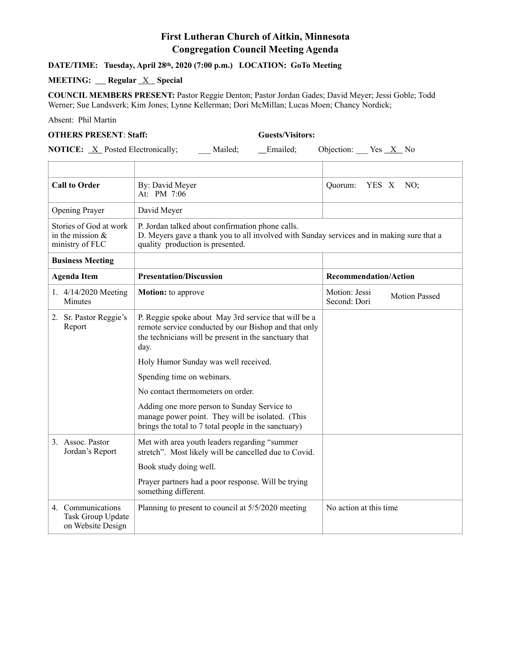# **First Lutheran Church of Aitkin, Minnesota Congregation Council Meeting Agenda**

## **DATE/TIME: Tuesday, April 28th, 2020 (7:00 p.m.) LOCATION: GoTo Meeting**

## **MEETING:** Regular <u>X</u> Special

**COUNCIL MEMBERS PRESENT:** Pastor Reggie Denton; Pastor Jordan Gades; David Meyer; Jessi Goble; Todd Werner; Sue Landsverk; Kim Jones; Lynne Kellerman; Dori McMillan; Lucas Moen; Chancy Nordick;

Absent: Phil Martin

### **OTHERS PRESENT**: **Staff: Guests/Visitors:**

**NOTICE:** <u>X</u> Posted Electronically; \_\_\_ Mailed; \_\_\_ Emailed; Objection: Yes <u>X</u> No

| <b>Call to Order</b>                                             | By: David Meyer<br>At: PM 7:06                                                                                                                                                    | NO:<br>Quorum:<br>YES X                               |
|------------------------------------------------------------------|-----------------------------------------------------------------------------------------------------------------------------------------------------------------------------------|-------------------------------------------------------|
| <b>Opening Prayer</b>                                            | David Meyer                                                                                                                                                                       |                                                       |
| Stories of God at work<br>in the mission $\&$<br>ministry of FLC | P. Jordan talked about confirmation phone calls.<br>D. Meyers gave a thank you to all involved with Sunday services and in making sure that a<br>quality production is presented. |                                                       |
| <b>Business Meeting</b>                                          |                                                                                                                                                                                   |                                                       |
| <b>Agenda Item</b>                                               | <b>Presentation/Discussion</b>                                                                                                                                                    | <b>Recommendation/Action</b>                          |
| 1. 4/14/2020 Meeting<br>Minutes                                  | <b>Motion:</b> to approve                                                                                                                                                         | Motion: Jessi<br><b>Motion Passed</b><br>Second: Dori |
| 2. Sr. Pastor Reggie's<br>Report                                 | P. Reggie spoke about May 3rd service that will be a<br>remote service conducted by our Bishop and that only<br>the technicians will be present in the sanctuary that<br>day.     |                                                       |
|                                                                  | Holy Humor Sunday was well received.                                                                                                                                              |                                                       |
|                                                                  | Spending time on webinars.                                                                                                                                                        |                                                       |
|                                                                  | No contact thermometers on order.                                                                                                                                                 |                                                       |
|                                                                  | Adding one more person to Sunday Service to<br>manage power point. They will be isolated. (This<br>brings the total to 7 total people in the sanctuary)                           |                                                       |
| 3. Assoc. Pastor<br>Jordan's Report                              | Met with area youth leaders regarding "summer<br>stretch". Most likely will be cancelled due to Covid.                                                                            |                                                       |
|                                                                  | Book study doing well.                                                                                                                                                            |                                                       |
|                                                                  | Prayer partners had a poor response. Will be trying<br>something different.                                                                                                       |                                                       |
| 4. Communications<br>Task Group Update<br>on Website Design      | Planning to present to council at 5/5/2020 meeting                                                                                                                                | No action at this time                                |